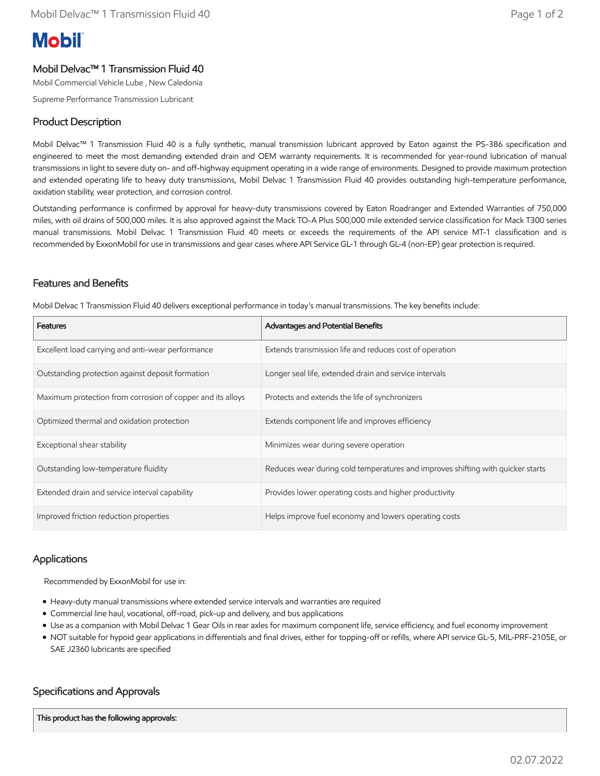# **Mobil**

## Mobil Delvac™ 1 Transmission Fluid 40

Mobil Commercial Vehicle Lube , New Caledonia

Supreme Performance Transmission Lubricant

### Product Description

Mobil Delvac™ 1 Transmission Fluid 40 is a fully synthetic, manual transmission lubricant approved by Eaton against the PS-386 specification and engineered to meet the most demanding extended drain and OEM warranty requirements. It is recommended for year-round lubrication of manual transmissions in light to severe duty on- and off-highway equipment operating in a wide range of environments. Designed to provide maximum protection and extended operating life to heavy duty transmissions, Mobil Delvac 1 Transmission Fluid 40 provides outstanding high-temperature performance, oxidation stability, wear protection, and corrosion control.

Outstanding performance is confirmed by approval for heavy-duty transmissions covered by Eaton Roadranger and Extended Warranties of 750,000 miles, with oil drains of 500,000 miles. It is also approved against the Mack TO-A Plus 500,000 mile extended service classification for Mack T300 series manual transmissions. Mobil Delvac 1 Transmission Fluid 40 meets or exceeds the requirements of the API service MT-1 classification and is recommended by ExxonMobil for use in transmissions and gear cases where API Service GL-1 through GL-4 (non-EP) gear protection is required.

### Features and Benefits

Mobil Delvac 1 Transmission Fluid 40 delivers exceptional performance in today's manual transmissions. The key benefits include:

| <b>Features</b>                                            | Advantages and Potential Benefits                                               |
|------------------------------------------------------------|---------------------------------------------------------------------------------|
| Excellent load carrying and anti-wear performance          | Extends transmission life and reduces cost of operation                         |
| Outstanding protection against deposit formation           | Longer seal life, extended drain and service intervals                          |
| Maximum protection from corrosion of copper and its alloys | Protects and extends the life of synchronizers                                  |
| Optimized thermal and oxidation protection                 | Extends component life and improves efficiency                                  |
| Exceptional shear stability                                | Minimizes wear during severe operation                                          |
| Outstanding low-temperature fluidity                       | Reduces wear during cold temperatures and improves shifting with quicker starts |
| Extended drain and service interval capability             | Provides lower operating costs and higher productivity                          |
| Improved friction reduction properties                     | Helps improve fuel economy and lowers operating costs                           |

### **Applications**

Recommended by ExxonMobil for use in:

- Heavy-duty manual transmissions where extended service intervals and warranties are required
- Commercial line haul, vocational, off-road, pick-up and delivery, and bus applications
- Use as a companion with Mobil Delvac 1 Gear Oils in rear axles for maximum component life, service efficiency, and fuel economy improvement
- NOT suitable for hypoid gear applications in differentials and final drives, either for topping-off or refills, where API service GL-5, MIL-PRF-2105E, or SAE J2360 lubricants are specified

### Specifications and Approvals

This product has the following approvals: